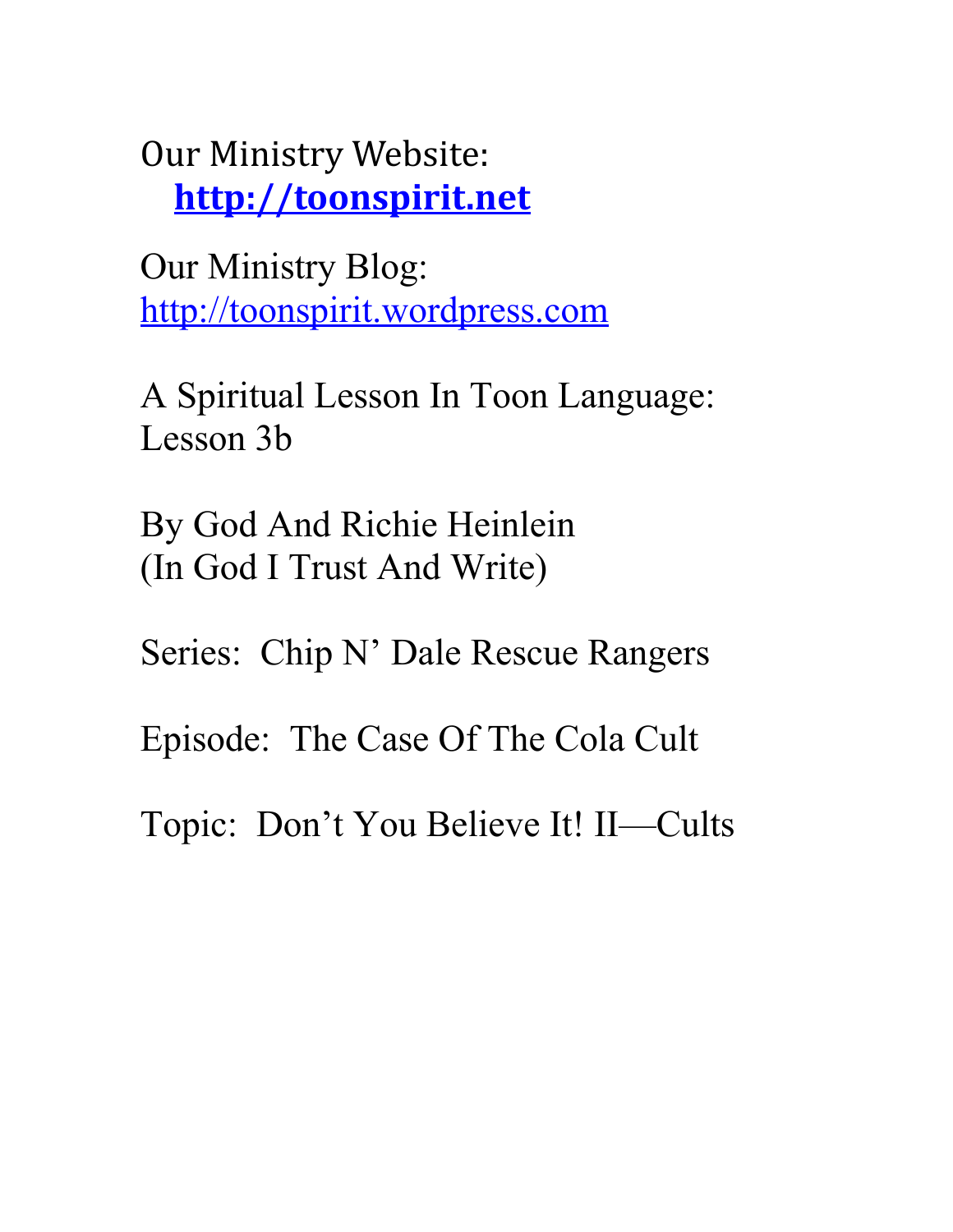Our Ministry Website: **[http://toonspirit.net](http://toonspirit.net/)**

Our Ministry Blog: [http://toonspirit.wordpress.com](http://toonspirit.wordpress.com/)

A Spiritual Lesson In Toon Language: Lesson 3b

By God And Richie Heinlein (In God I Trust And Write)

Series: Chip N' Dale Rescue Rangers

Episode: The Case Of The Cola Cult

Topic: Don't You Believe It! II—Cults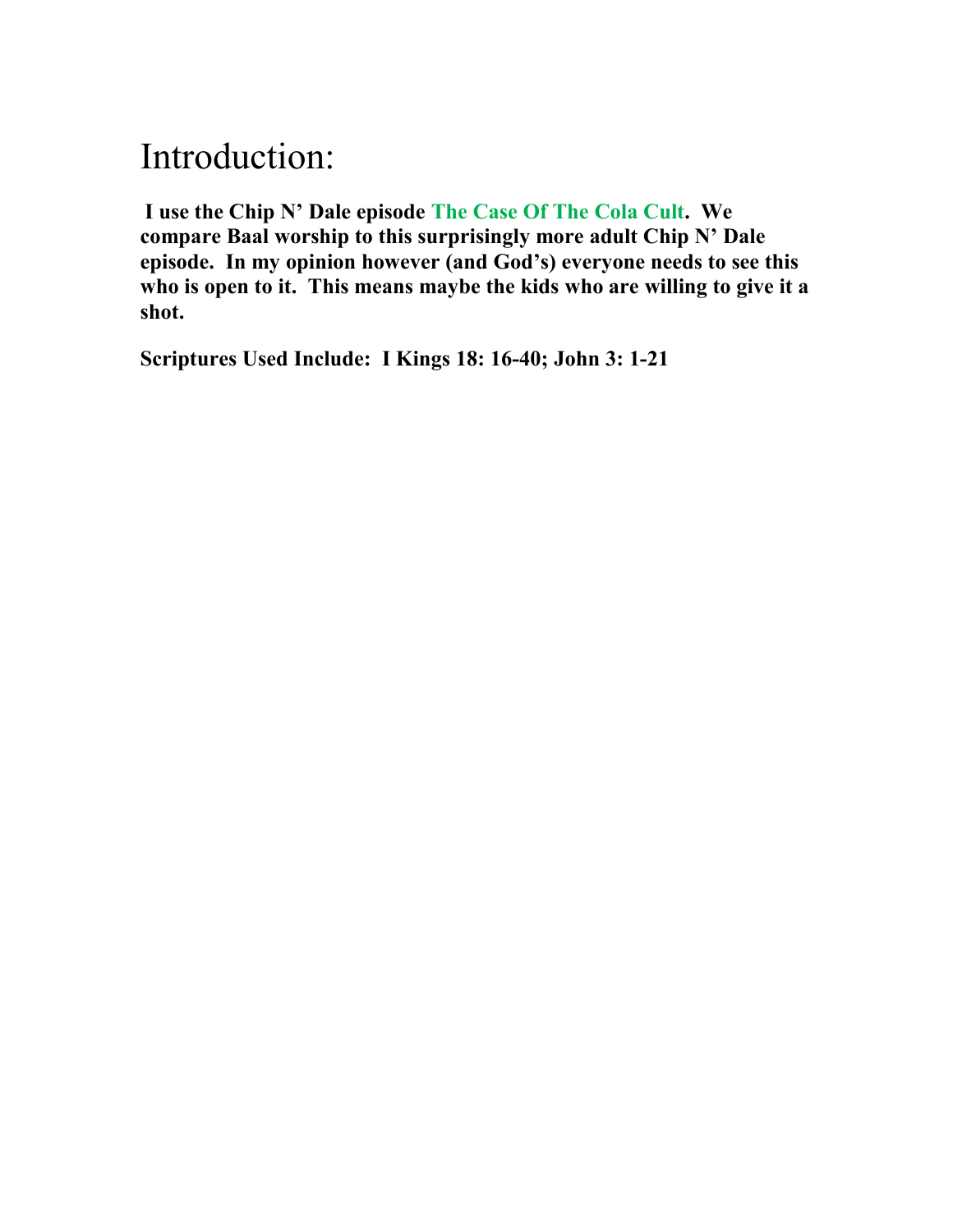## Introduction:

**I use the Chip N' Dale episode The Case Of The Cola Cult. We compare Baal worship to this surprisingly more adult Chip N' Dale episode. In my opinion however (and God's) everyone needs to see this who is open to it. This means maybe the kids who are willing to give it a shot.**

**Scriptures Used Include: I Kings 18: 16-40; John 3: 1-21**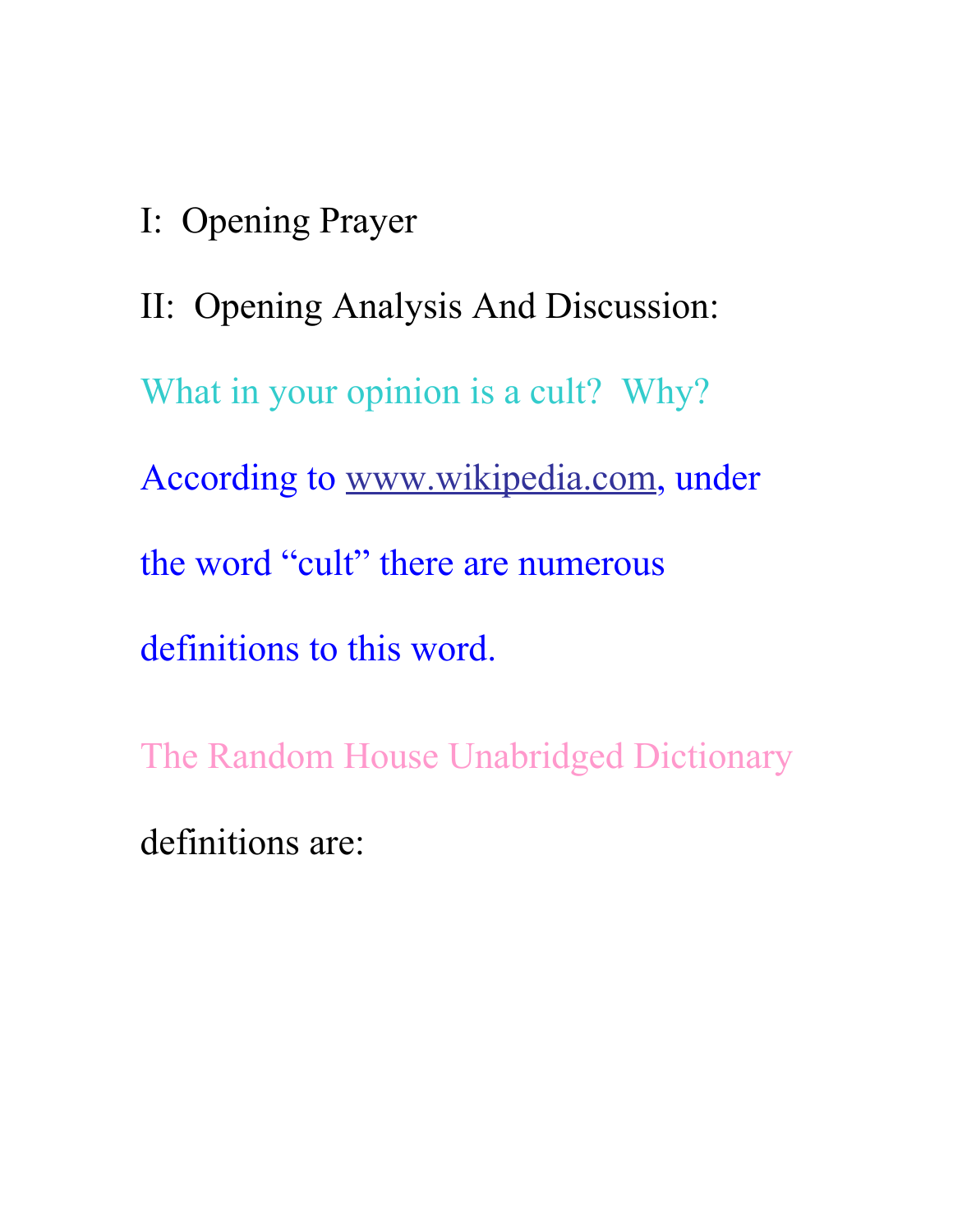I: Opening Prayer

II: Opening Analysis And Discussion: What in your opinion is a cult? Why? According to [www.wikipedia.com,](http://www.wikipedia.com/) under the word "cult" there are numerous definitions to this word.

The Random House Unabridged Dictionary definitions are: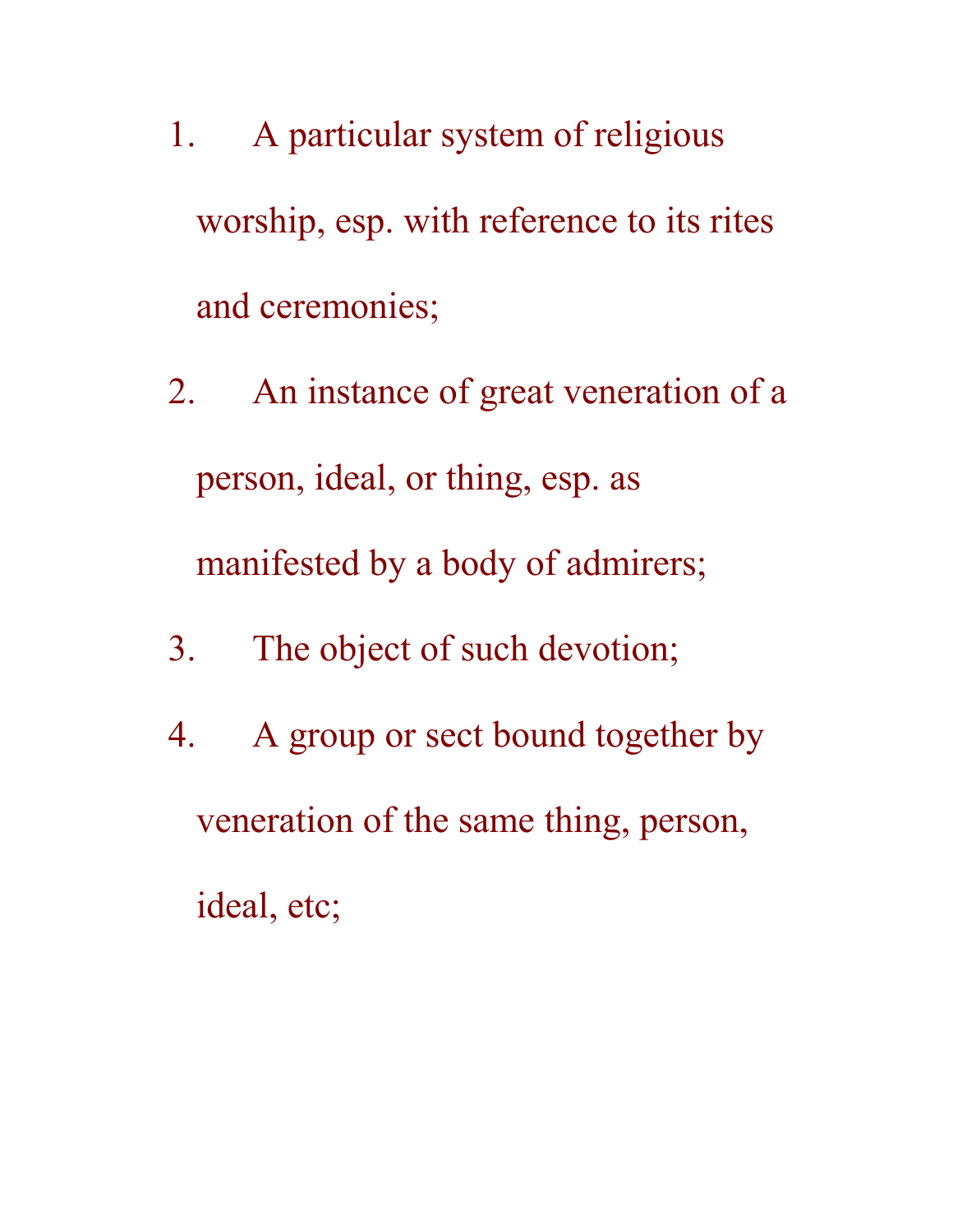- 1. A particular system of religious worship, esp. with reference to its rites and ceremonies;
- 2. An instance of great veneration of a person, ideal, or thing, esp. as manifested by a body of admirers;
- 3. The object of such devotion;
- 4. A group or sect bound together by veneration of the same thing, person, ideal, etc;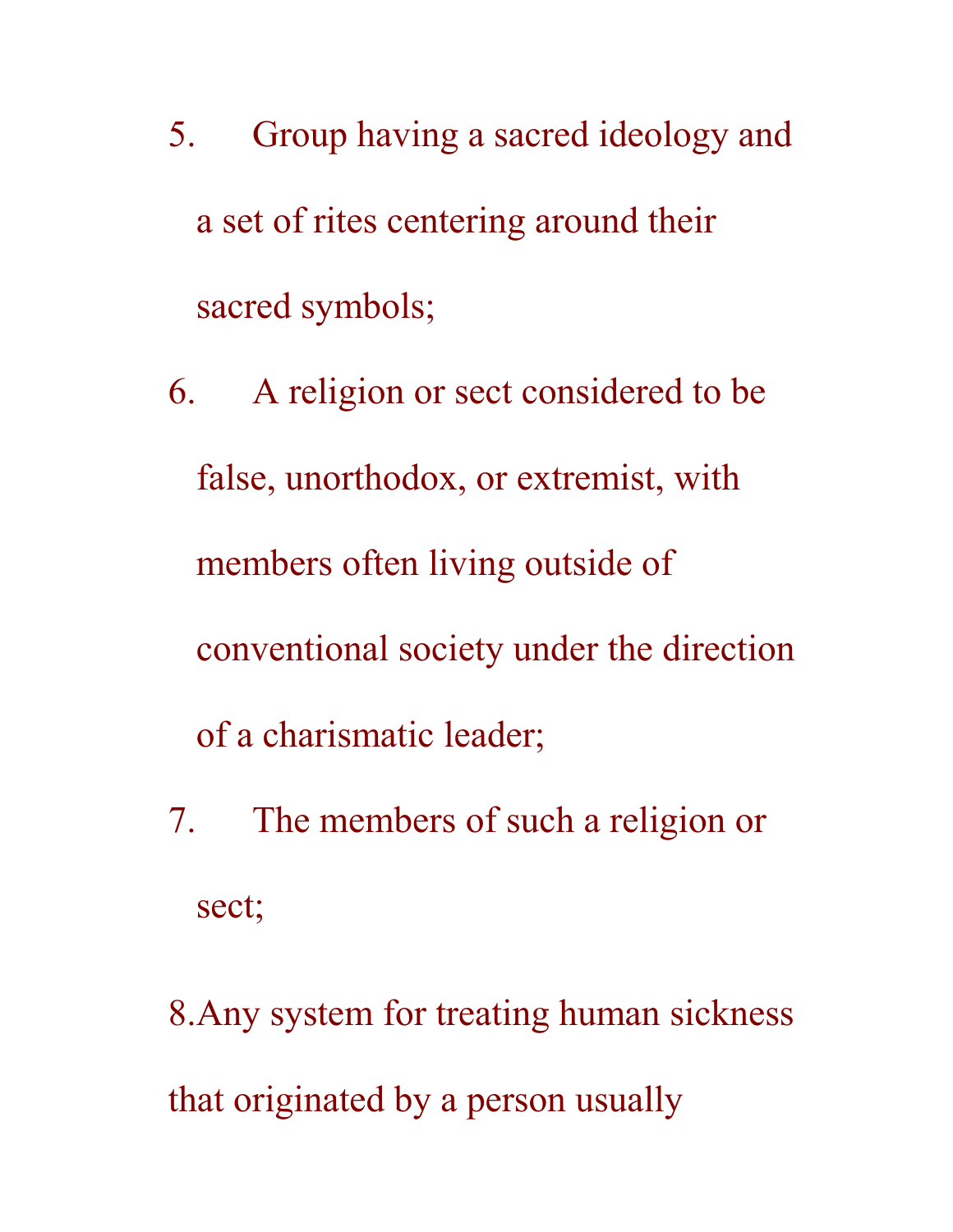- 5. Group having a sacred ideology and a set of rites centering around their sacred symbols;
- 6. A religion or sect considered to be false, unorthodox, or extremist, with members often living outside of conventional society under the direction of a charismatic leader;
- 7. The members of such a religion or sect;

8.Any system for treating human sickness that originated by a person usually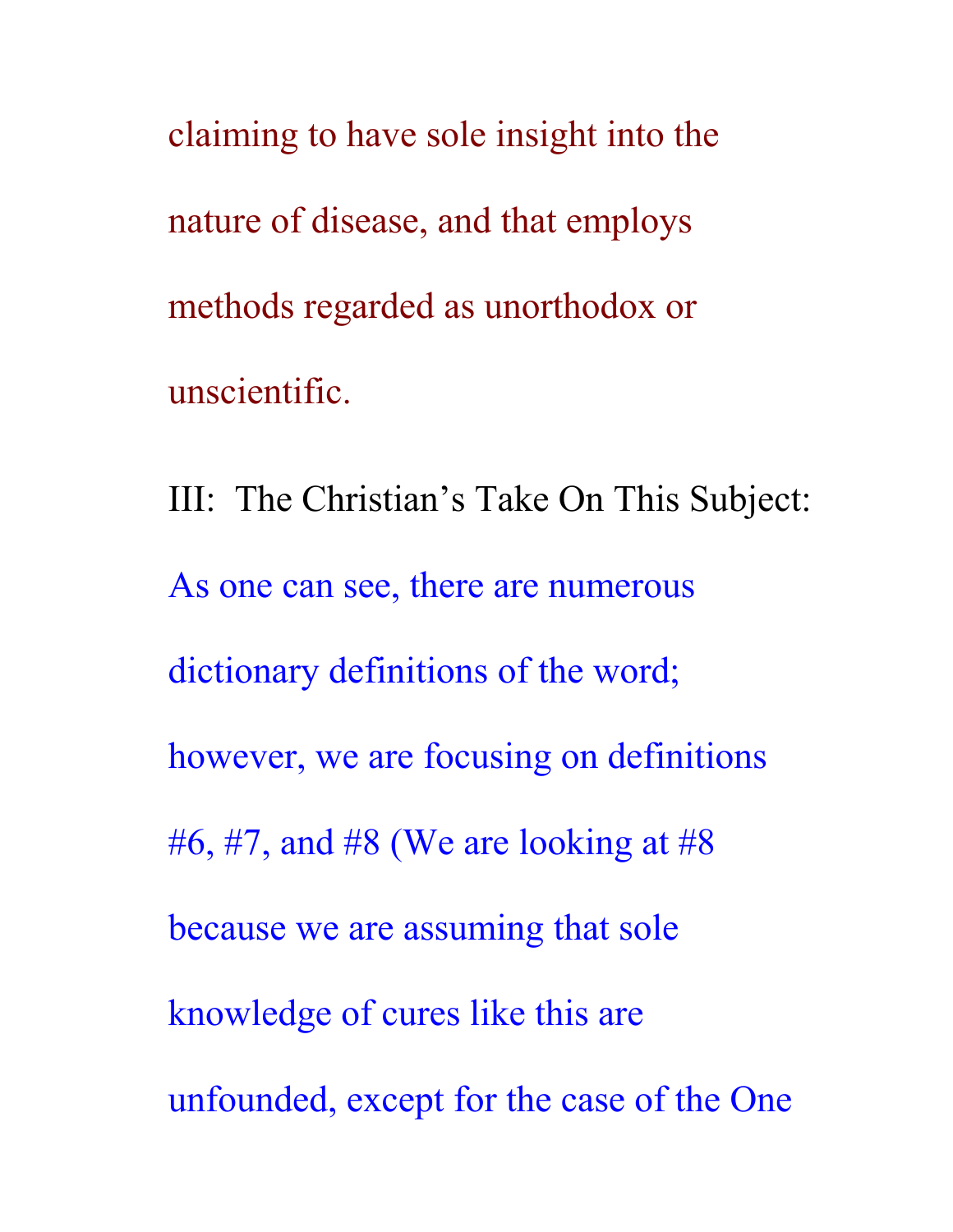claiming to have sole insight into the nature of disease, and that employs methods regarded as unorthodox or unscientific.

III: The Christian's Take On This Subject: As one can see, there are numerous dictionary definitions of the word; however, we are focusing on definitions #6, #7, and #8 (We are looking at #8) because we are assuming that sole knowledge of cures like this are unfounded, except for the case of the One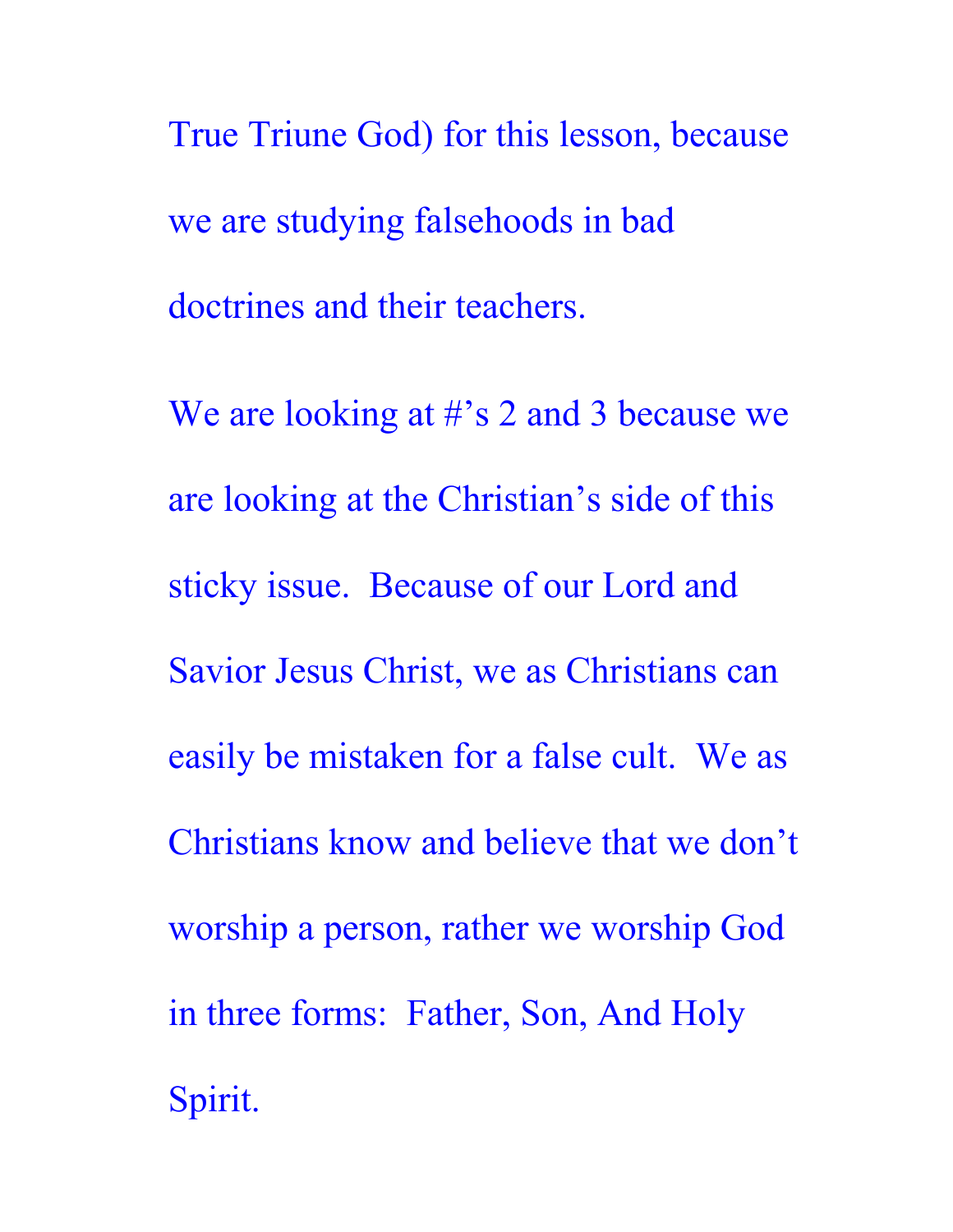True Triune God) for this lesson, because we are studying falsehoods in bad doctrines and their teachers.

We are looking at #'s 2 and 3 because we are looking at the Christian's side of this sticky issue. Because of our Lord and Savior Jesus Christ, we as Christians can easily be mistaken for a false cult. We as Christians know and believe that we don't worship a person, rather we worship God in three forms: Father, Son, And Holy Spirit.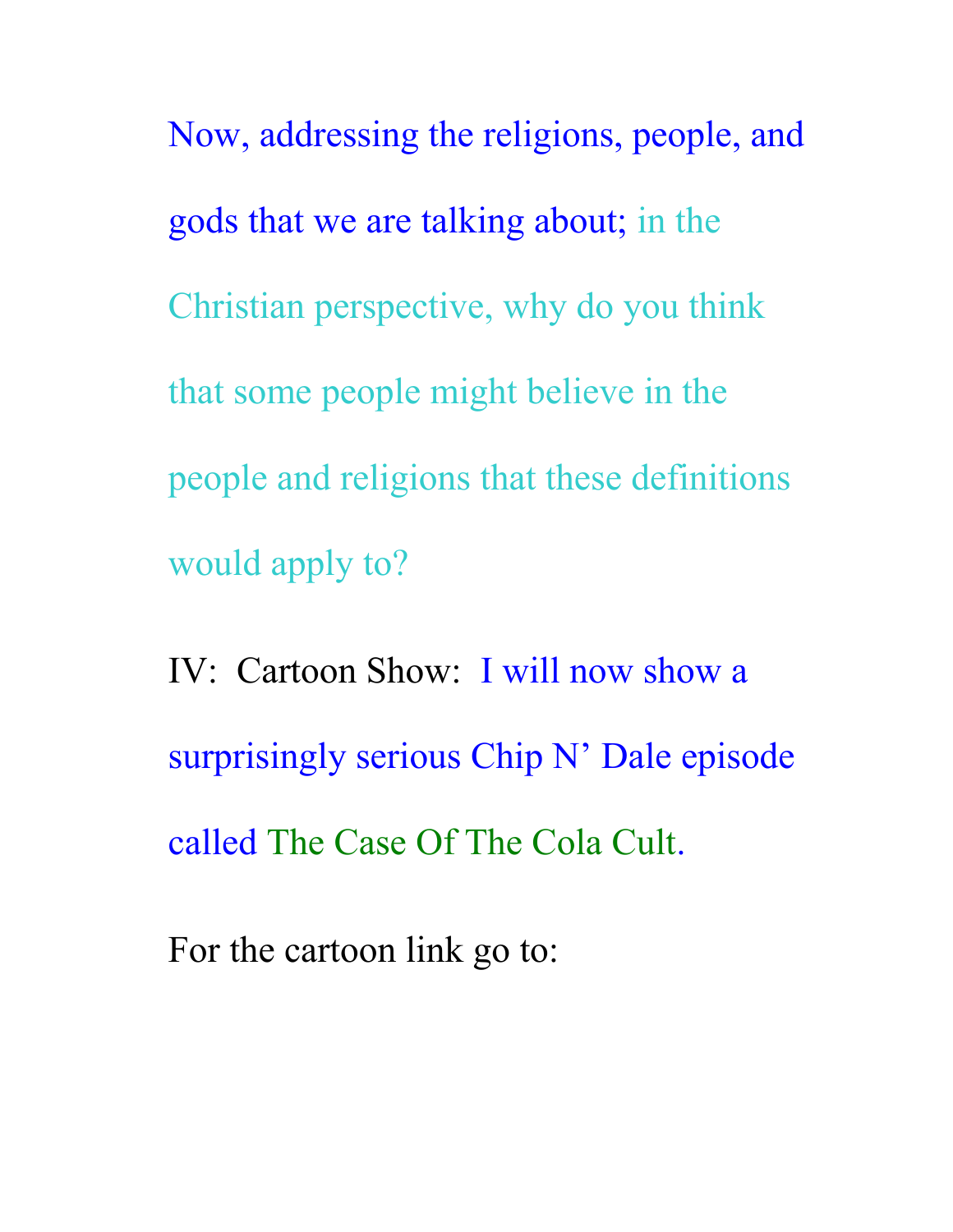Now, addressing the religions, people, and gods that we are talking about; in the Christian perspective, why do you think that some people might believe in the people and religions that these definitions would apply to?

IV: Cartoon Show: I will now show a surprisingly serious Chip N' Dale episode called The Case Of The Cola Cult.

For the cartoon link go to: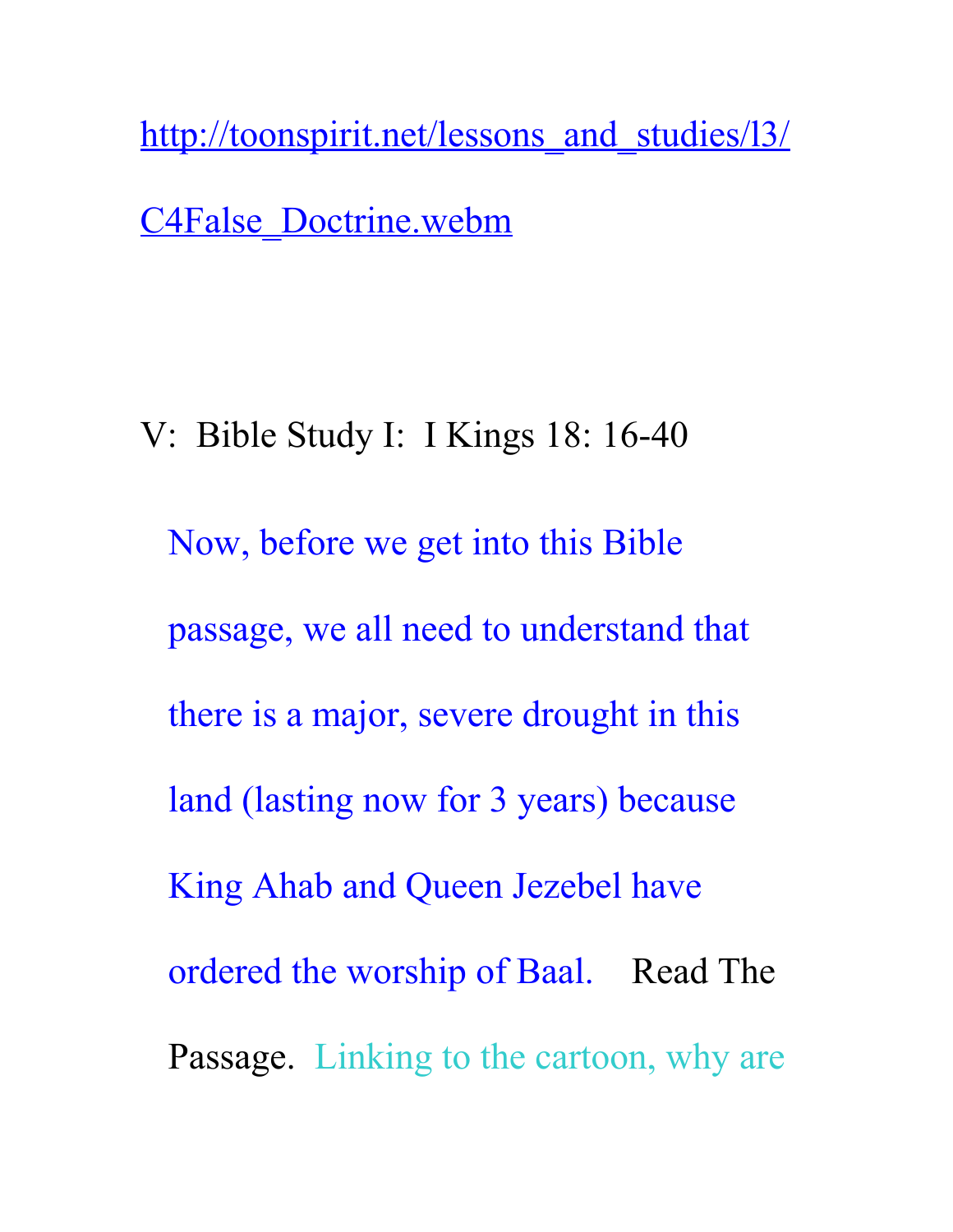http://toonspirit.net/lessons and studies/13/

[C4False\\_Doctrine.webm](http://toonspirit.net/lessons_and_studies/l3/C4False_Doctrine.webm)

V: Bible Study I: I Kings 18: 16-40 Now, before we get into this Bible passage, we all need to understand that there is a major, severe drought in this land (lasting now for 3 years) because King Ahab and Queen Jezebel have ordered the worship of Baal. Read The Passage. Linking to the cartoon, why are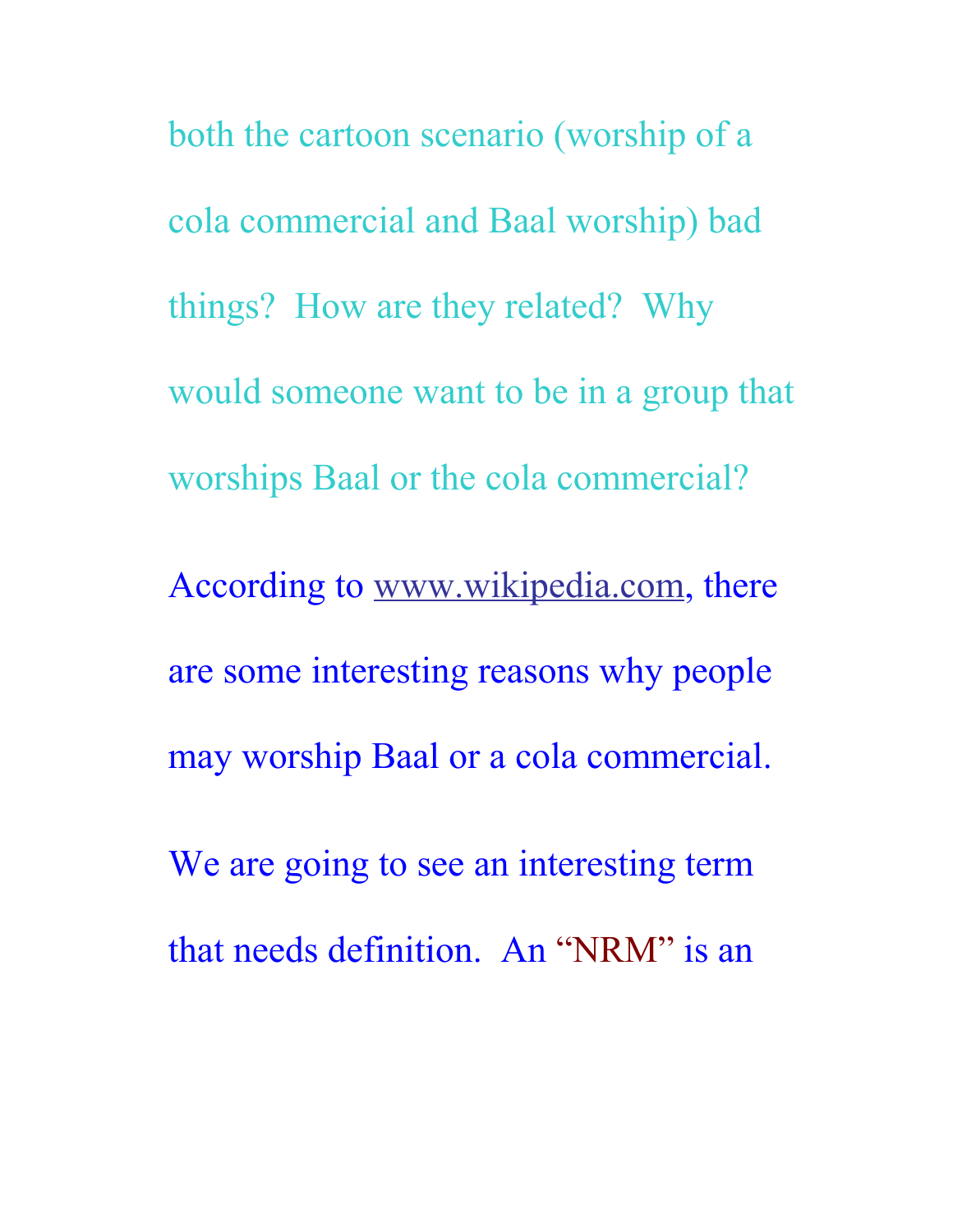both the cartoon scenario (worship of a cola commercial and Baal worship) bad things? How are they related? Why would someone want to be in a group that worships Baal or the cola commercial? According to [www.wikipedia.com,](http://www.wikipedia.com/) there are some interesting reasons why people may worship Baal or a cola commercial. We are going to see an interesting term that needs definition. An "NRM" is an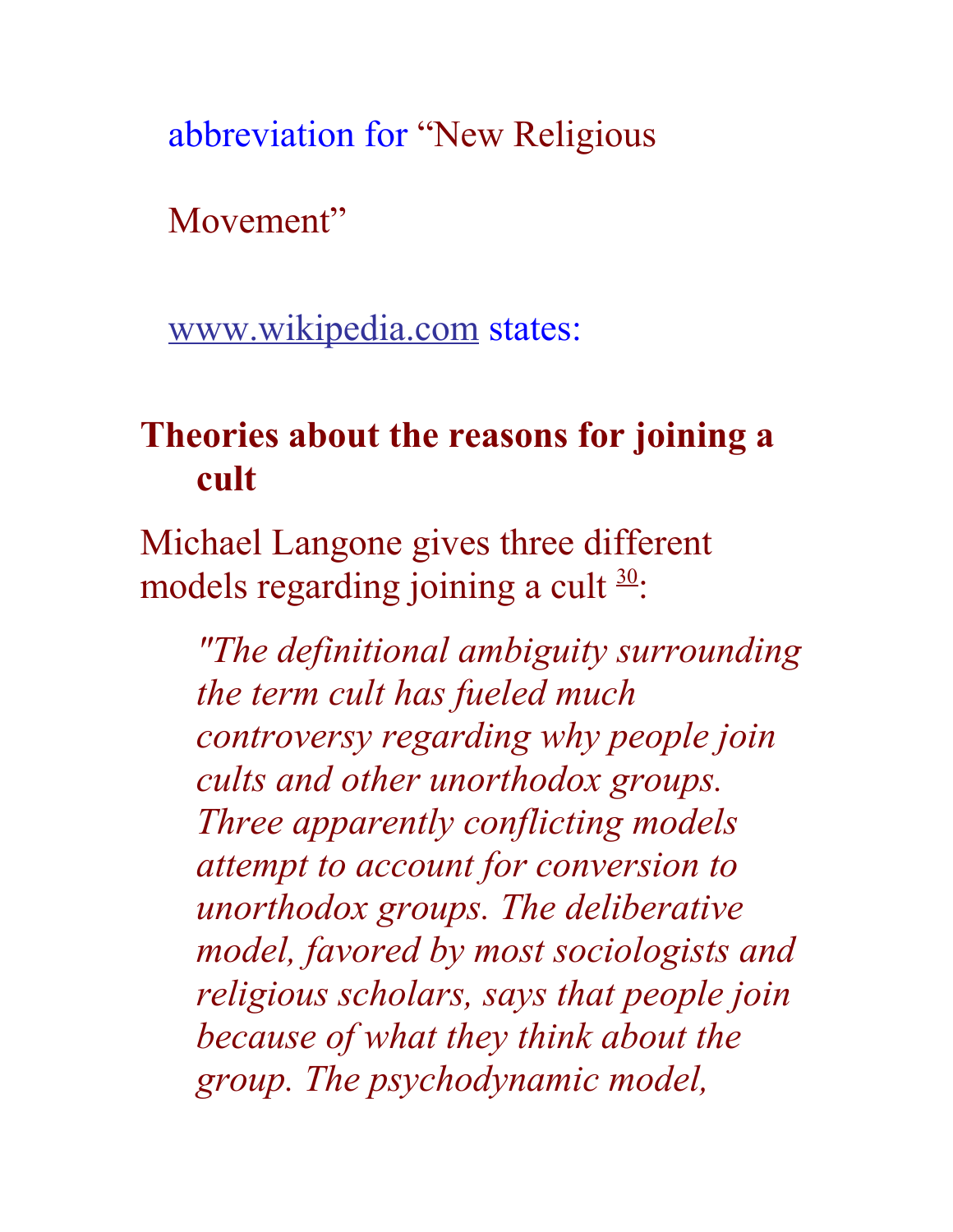abbreviation for "New Religious

Movement"

[www.wikipedia.com](http://www.wikipedia.com/) states:

## **Theories about the reasons for joining a cult**

Michael Langone gives three different models regarding joining a cult  $\frac{30}{2}$  $\frac{30}{2}$  $\frac{30}{2}$ :

*"The definitional ambiguity surrounding the term cult has fueled much controversy regarding why people join cults and other unorthodox groups. Three apparently conflicting models attempt to account for conversion to unorthodox groups. The deliberative model, favored by most sociologists and religious scholars, says that people join because of what they think about the group. The psychodynamic model,*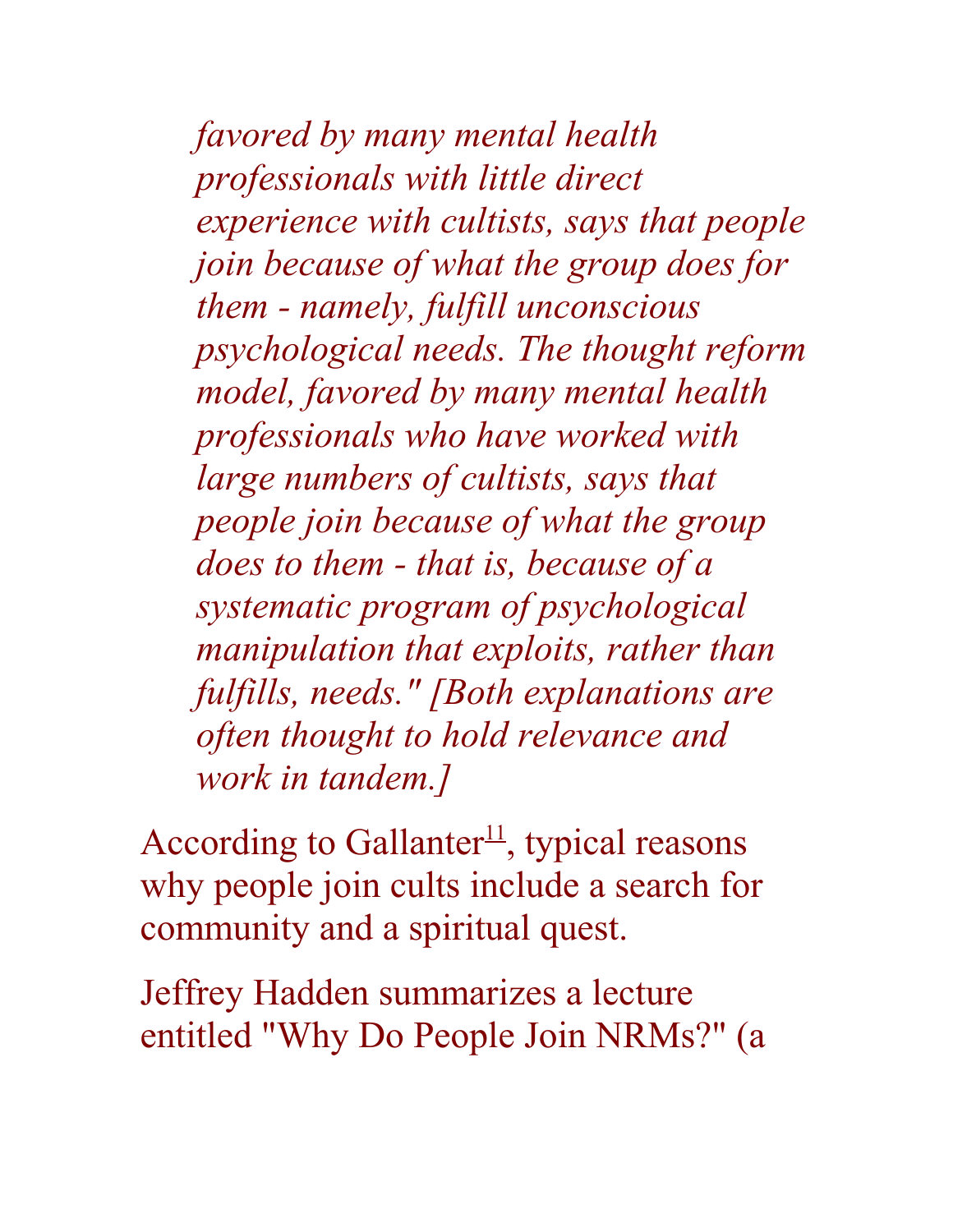*favored by many mental health professionals with little direct experience with cultists, says that people join because of what the group does for them - namely, fulfill unconscious psychological needs. The thought reform model, favored by many mental health professionals who have worked with large numbers of cultists, says that people join because of what the group does to them - that is, because of a systematic program of psychological manipulation that exploits, rather than fulfills, needs." [Both explanations are often thought to hold relevance and work in tandem.]*

According to Gallanter<sup>[11](http://en.wikipedia.org/wiki/Cult#fn_11)</sup>, typical reasons why people join cults include a search for community and a spiritual quest.

Jeffrey Hadden summarizes a lecture entitled "Why Do People Join NRMs?" (a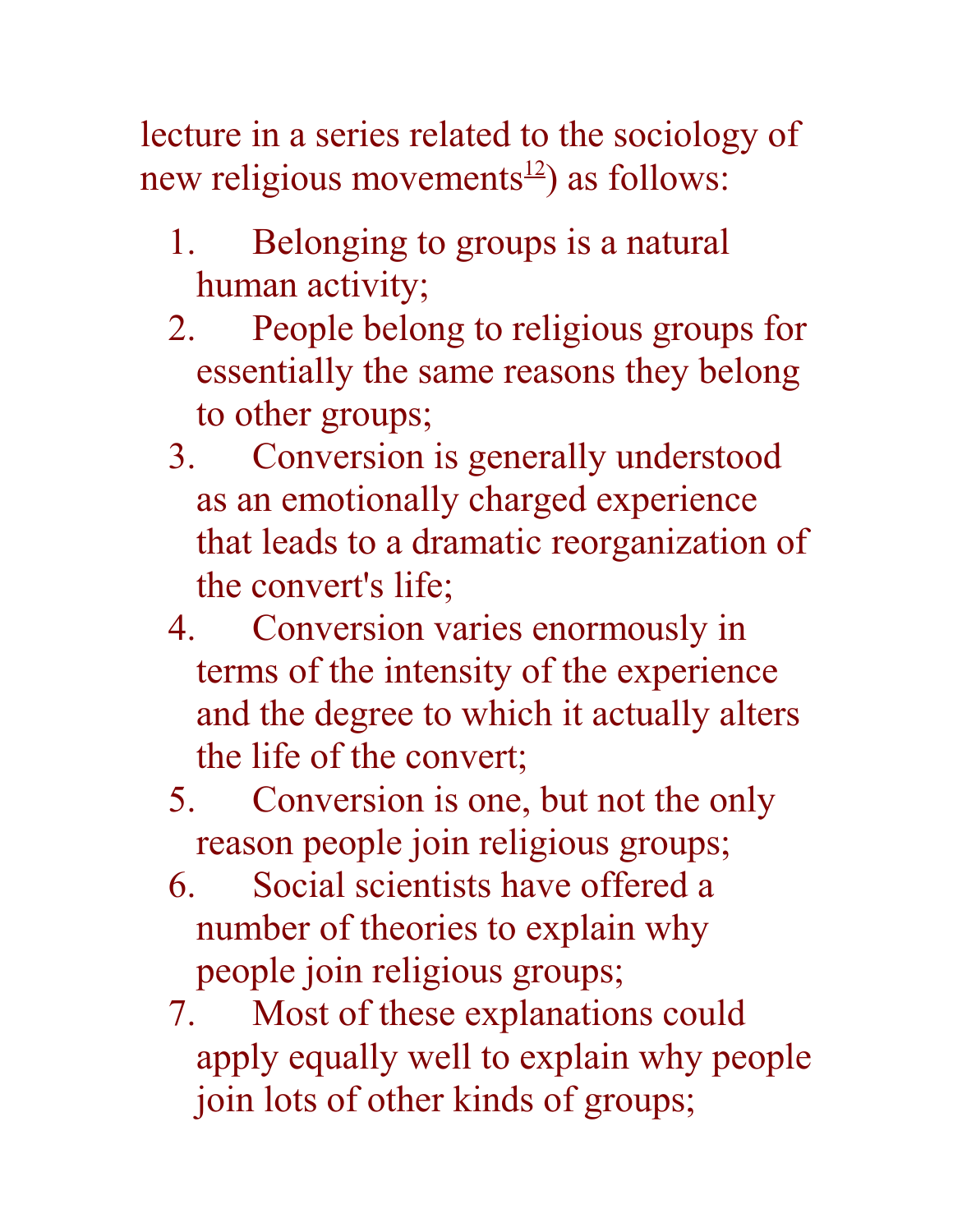lecture in a series related to the sociology of new religious movements<sup>[12](http://en.wikipedia.org/wiki/Cult#fn_12)</sup>) as follows:

- 1. Belonging to groups is a natural human activity;
- 2. People belong to religious groups for essentially the same reasons they belong to other groups;
- 3. Conversion is generally understood as an emotionally charged experience that leads to a dramatic reorganization of the convert's life;
- 4. Conversion varies enormously in terms of the intensity of the experience and the degree to which it actually alters the life of the convert;
- 5. Conversion is one, but not the only reason people join religious groups;
- 6. Social scientists have offered a number of theories to explain why people join religious groups;
- 7. Most of these explanations could apply equally well to explain why people join lots of other kinds of groups;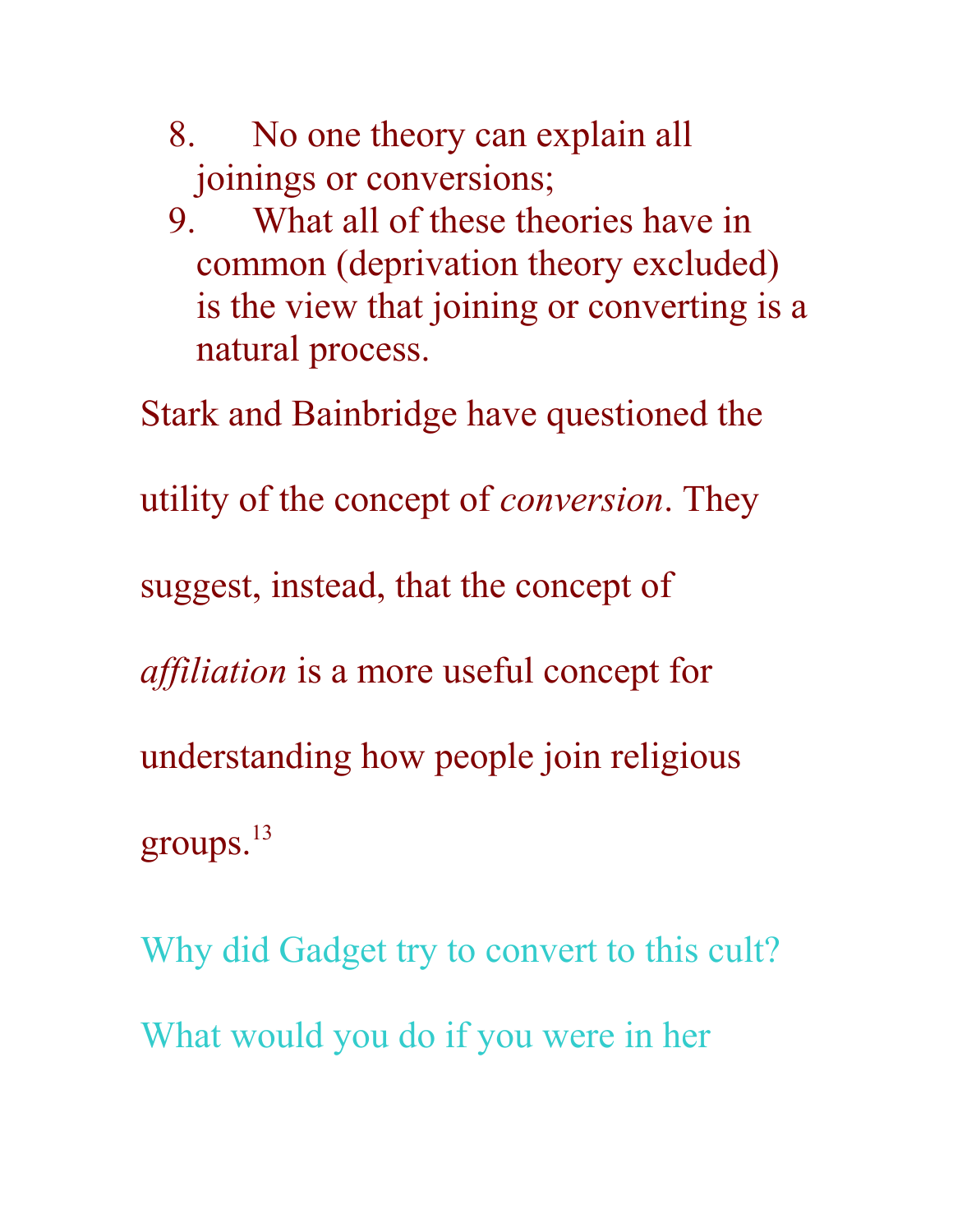- 8. No one theory can explain all joinings or conversions;
- 9. What all of these theories have in common (deprivation theory excluded) is the view that joining or converting is a natural process.

Stark and Bainbridge have questioned the

utility of the concept of *conversion*. They

suggest, instead, that the concept of

*affiliation* is a more useful concept for

understanding how people join religious

groups. $^{13}$ 

Why did Gadget try to convert to this cult? What would you do if you were in her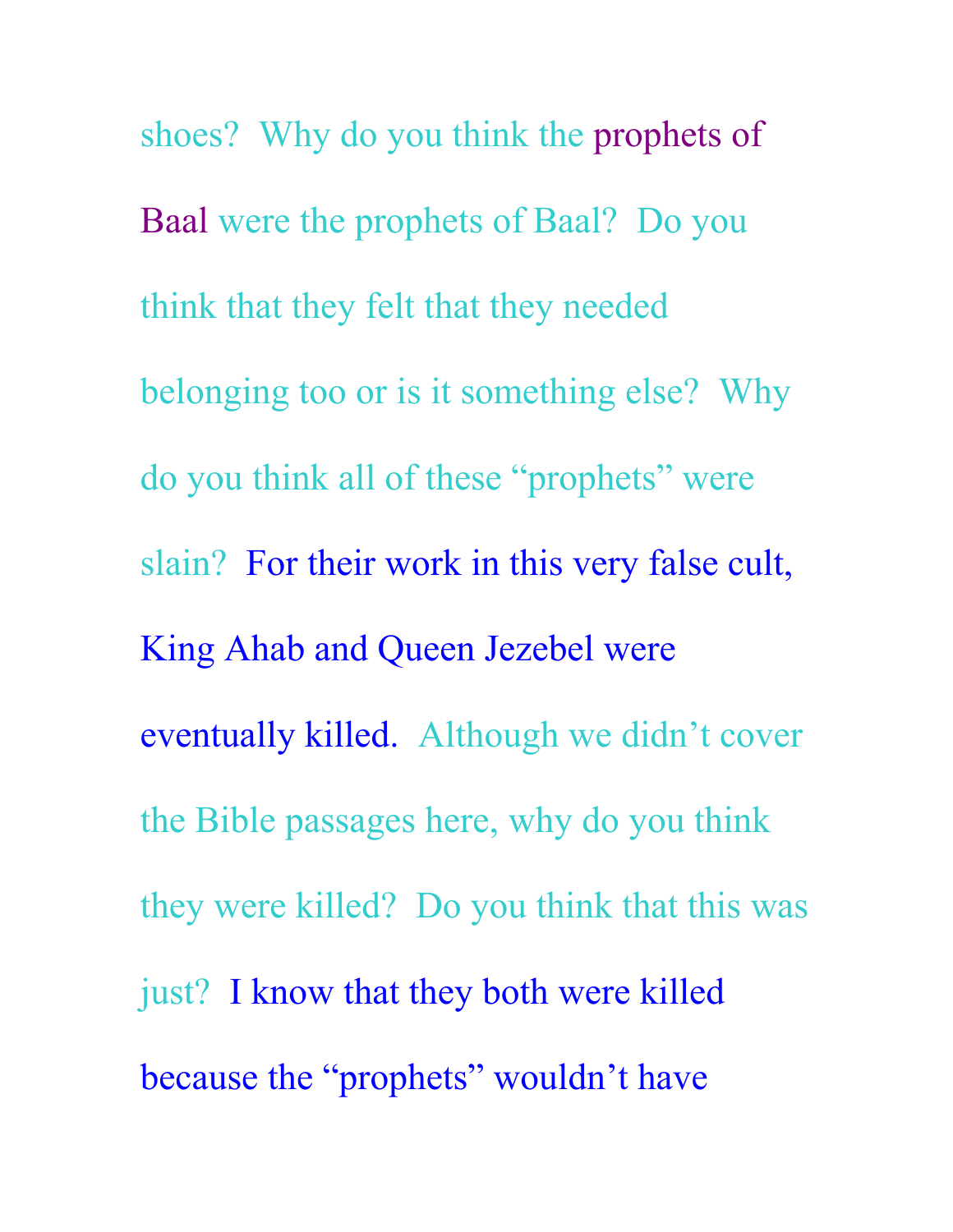shoes? Why do you think the prophets of Baal were the prophets of Baal? Do you think that they felt that they needed belonging too or is it something else? Why do you think all of these "prophets" were slain? For their work in this very false cult, King Ahab and Queen Jezebel were eventually killed. Although we didn't cover the Bible passages here, why do you think they were killed? Do you think that this was just? I know that they both were killed because the "prophets" wouldn't have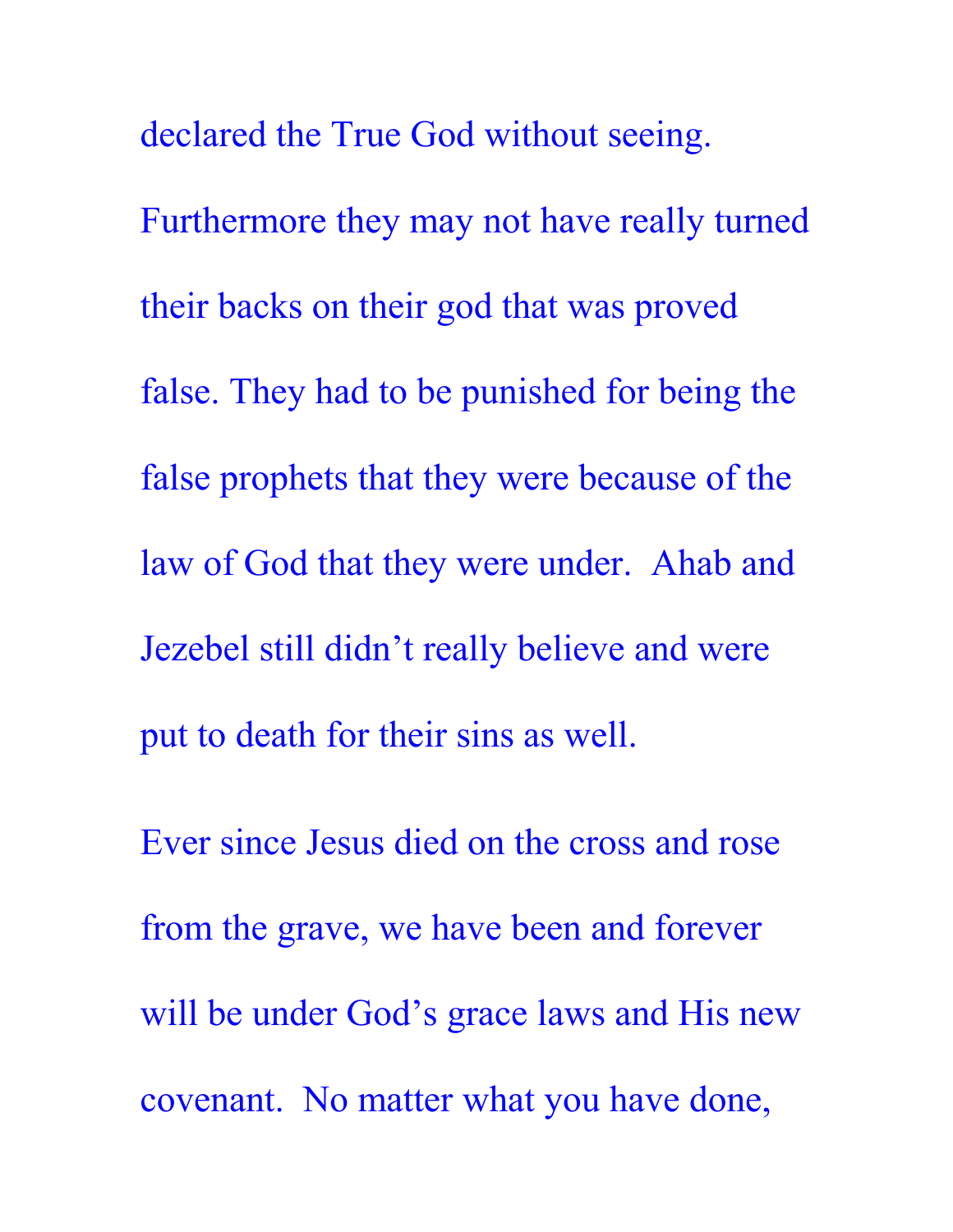declared the True God without seeing. Furthermore they may not have really turned their backs on their god that was proved false. They had to be punished for being the false prophets that they were because of the law of God that they were under. Ahab and Jezebel still didn't really believe and were put to death for their sins as well.

Ever since Jesus died on the cross and rose from the grave, we have been and forever will be under God's grace laws and His new covenant. No matter what you have done,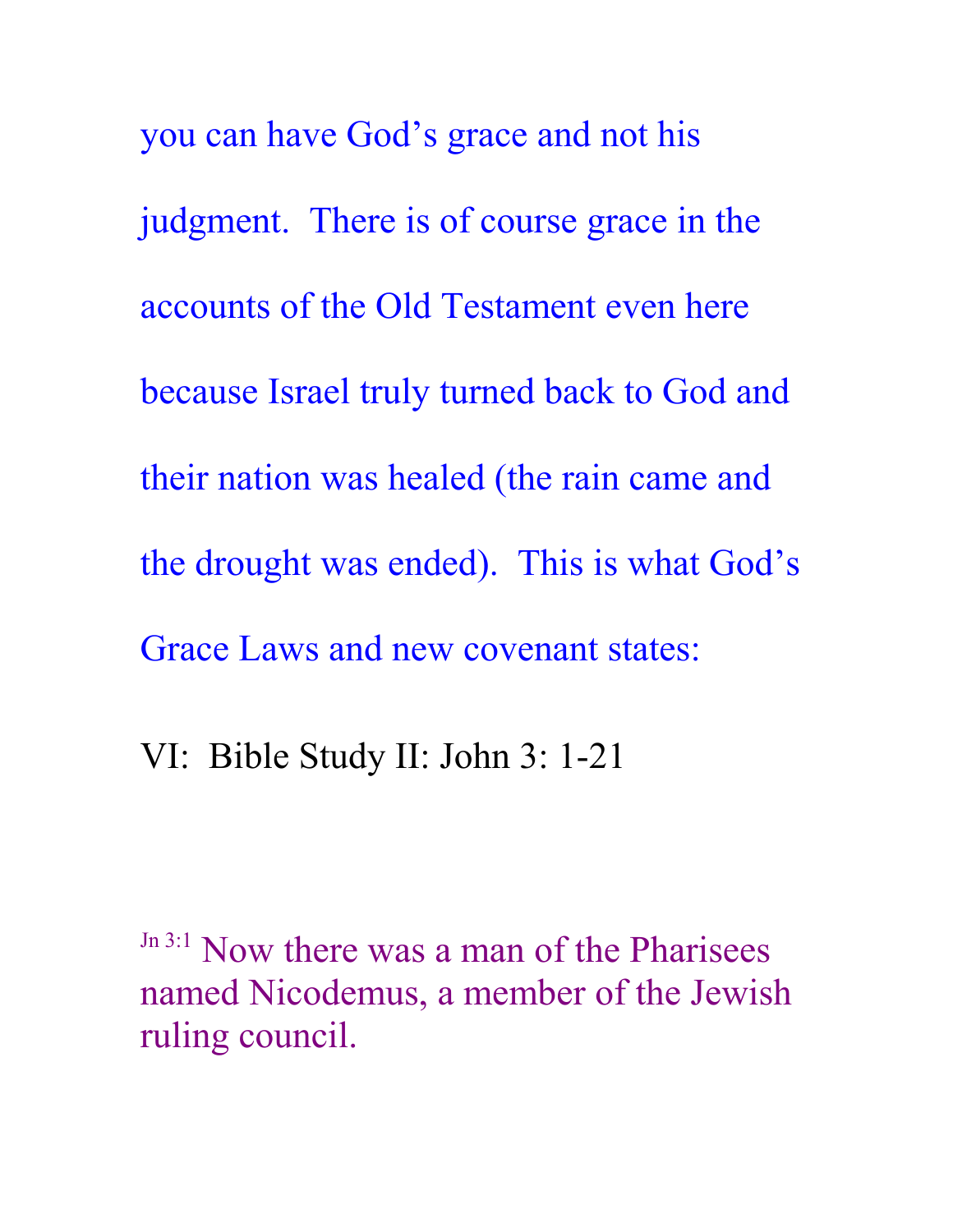you can have God's grace and not his judgment. There is of course grace in the accounts of the Old Testament even here because Israel truly turned back to God and their nation was healed (the rain came and the drought was ended). This is what God's Grace Laws and new covenant states:

VI: Bible Study II: John 3: 1-21

Jn 3:1 Now there was a man of the Pharisees named Nicodemus, a member of the Jewish ruling council.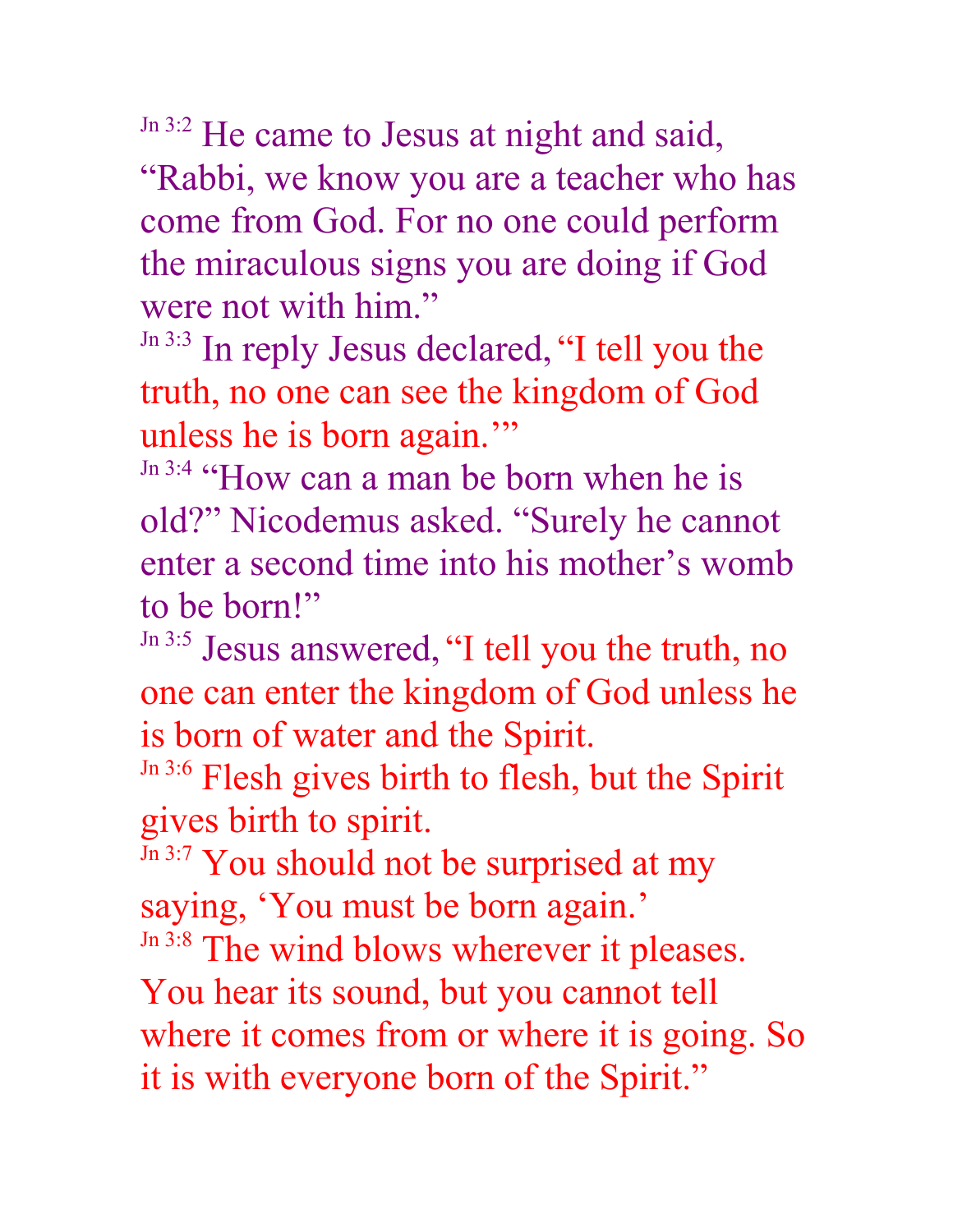Jn 3:2 He came to Jesus at night and said,

"Rabbi, we know you are a teacher who has come from God. For no one could perform the miraculous signs you are doing if God were not with him."

Jn 3:3 In reply Jesus declared, "I tell you the truth, no one can see the kingdom of God unless he is born again."

Jn 3:4 "How can a man be born when he is old?" Nicodemus asked. "Surely he cannot enter a second time into his mother's womb to be born!"

Jn 3:5 Jesus answered, "I tell you the truth, no one can enter the kingdom of God unless he is born of water and the Spirit.

Jn 3:6 Flesh gives birth to flesh, but the Spirit gives birth to spirit.

Jn 3:7 You should not be surprised at my saying, 'You must be born again.' Jn 3:8 The wind blows wherever it pleases.

You hear its sound, but you cannot tell where it comes from or where it is going. So it is with everyone born of the Spirit."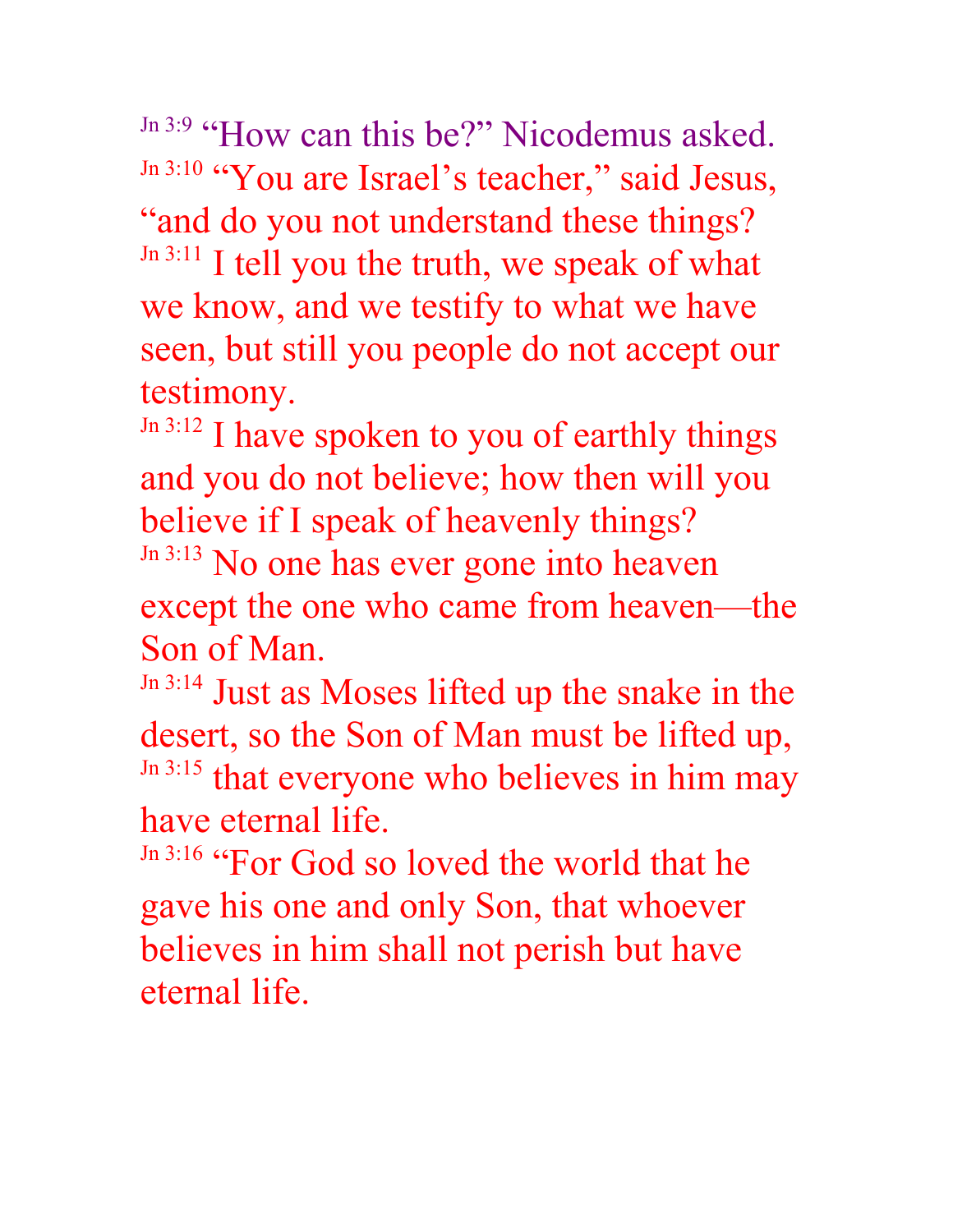Jn 3:9 "How can this be?" Nicodemus asked. Jn 3:10 "You are Israel's teacher," said Jesus, "and do you not understand these things? Jn 3:11 I tell you the truth, we speak of what we know, and we testify to what we have seen, but still you people do not accept our testimony.

Jn 3:12 I have spoken to you of earthly things and you do not believe; how then will you believe if I speak of heavenly things? Jn 3:13 No one has ever gone into heaven

except the one who came from heaven—the Son of Man.

Jn 3:14 Just as Moses lifted up the snake in the desert, so the Son of Man must be lifted up, Jn 3:15 that everyone who believes in him may have eternal life.

Jn 3:16 "For God so loved the world that he gave his one and only Son, that whoever believes in him shall not perish but have eternal life.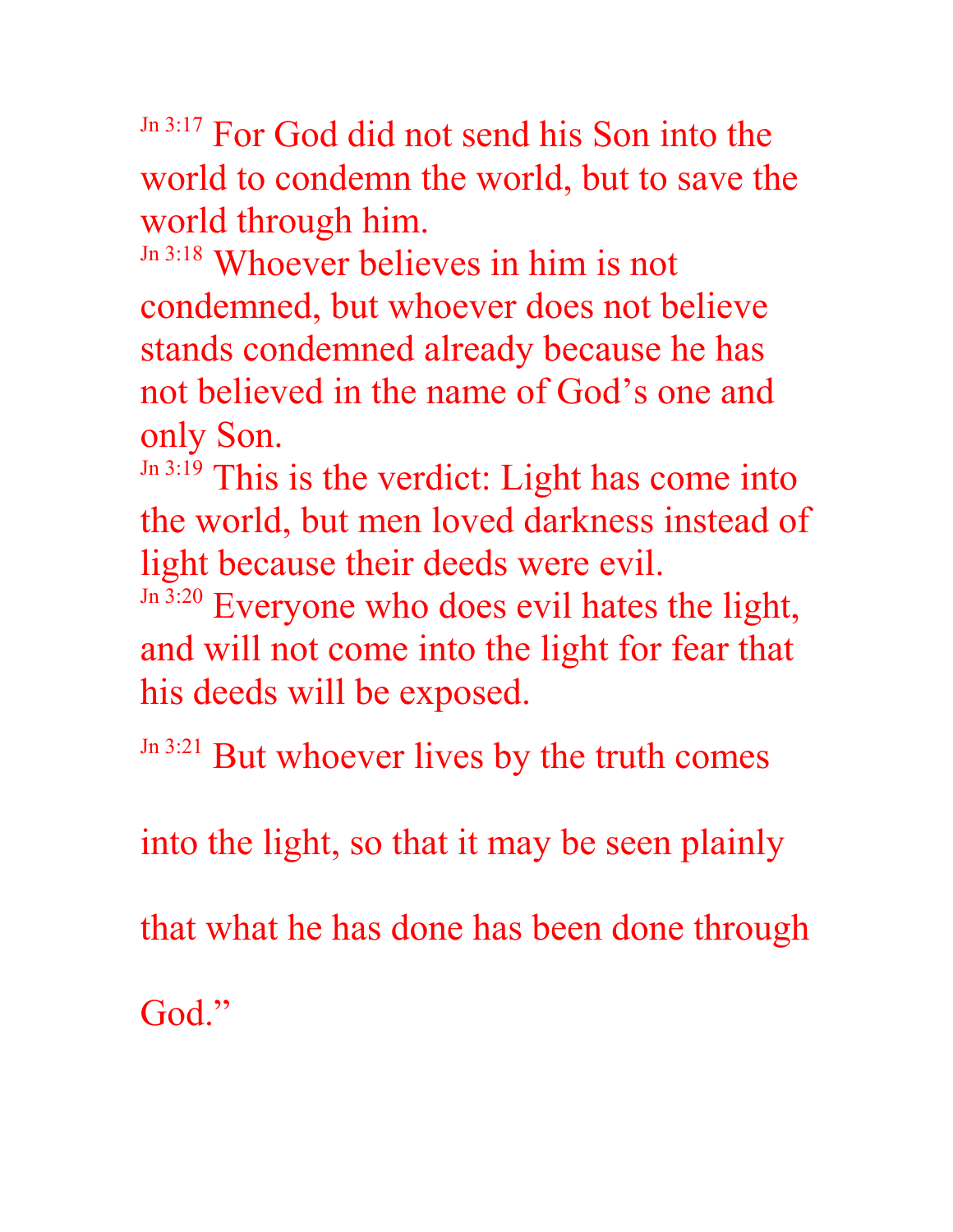Jn 3:17 For God did not send his Son into the world to condemn the world, but to save the world through him.

Jn 3:18 Whoever believes in him is not condemned, but whoever does not believe stands condemned already because he has not believed in the name of God's one and only Son.

Jn 3:19 This is the verdict: Light has come into the world, but men loved darkness instead of light because their deeds were evil.

Jn 3:20 Everyone who does evil hates the light, and will not come into the light for fear that his deeds will be exposed.

Jn 3:21 But whoever lives by the truth comes

into the light, so that it may be seen plainly

that what he has done has been done through

God."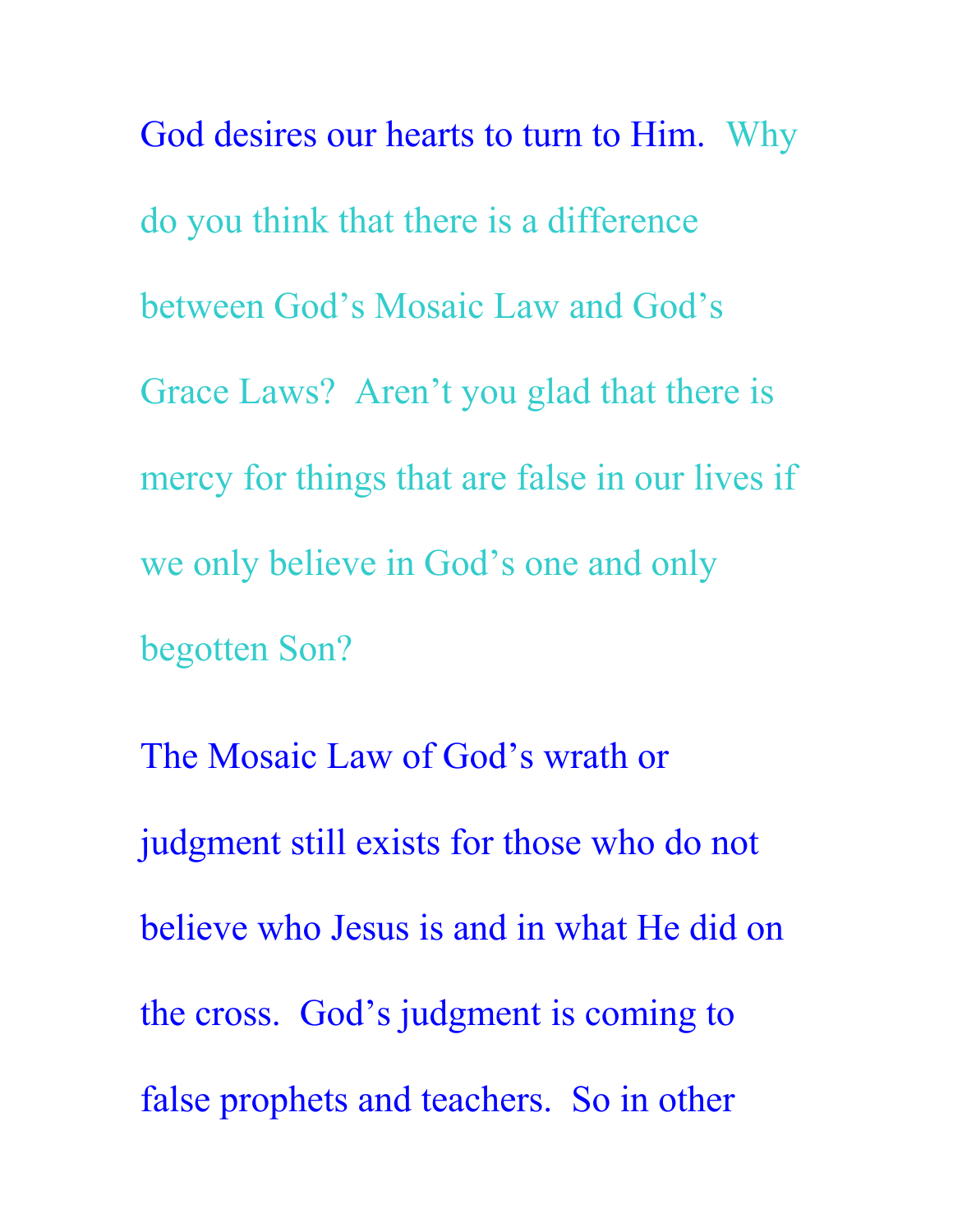God desires our hearts to turn to Him. Why do you think that there is a difference between God's Mosaic Law and God's Grace Laws? Aren't you glad that there is mercy for things that are false in our lives if we only believe in God's one and only begotten Son?

The Mosaic Law of God's wrath or judgment still exists for those who do not believe who Jesus is and in what He did on the cross. God's judgment is coming to false prophets and teachers. So in other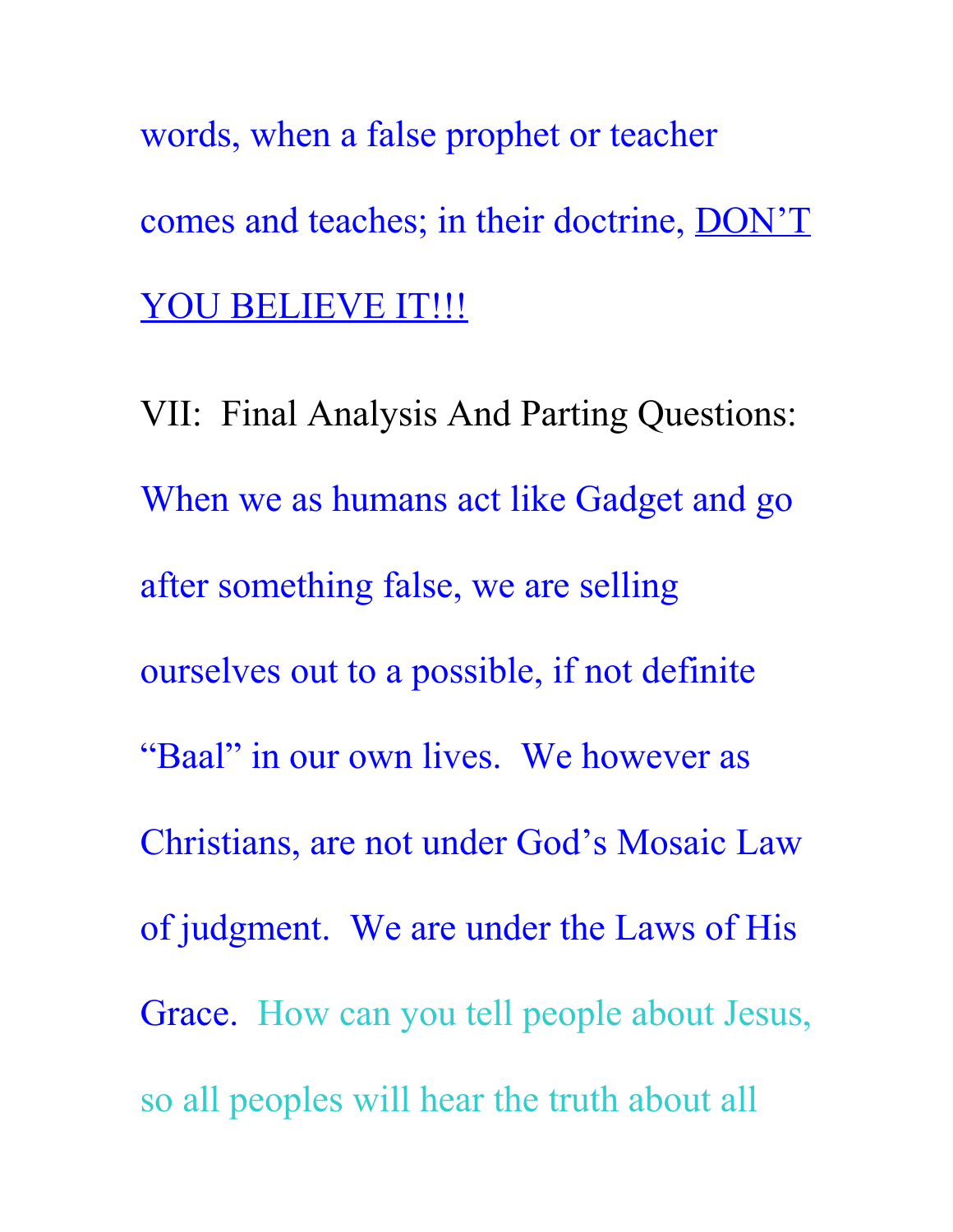words, when a false prophet or teacher comes and teaches; in their doctrine, DON'T YOU BELIEVE IT !!!

VII: Final Analysis And Parting Questions: When we as humans act like Gadget and go after something false, we are selling ourselves out to a possible, if not definite "Baal" in our own lives. We however as Christians, are not under God's Mosaic Law of judgment. We are under the Laws of His Grace. How can you tell people about Jesus, so all peoples will hear the truth about all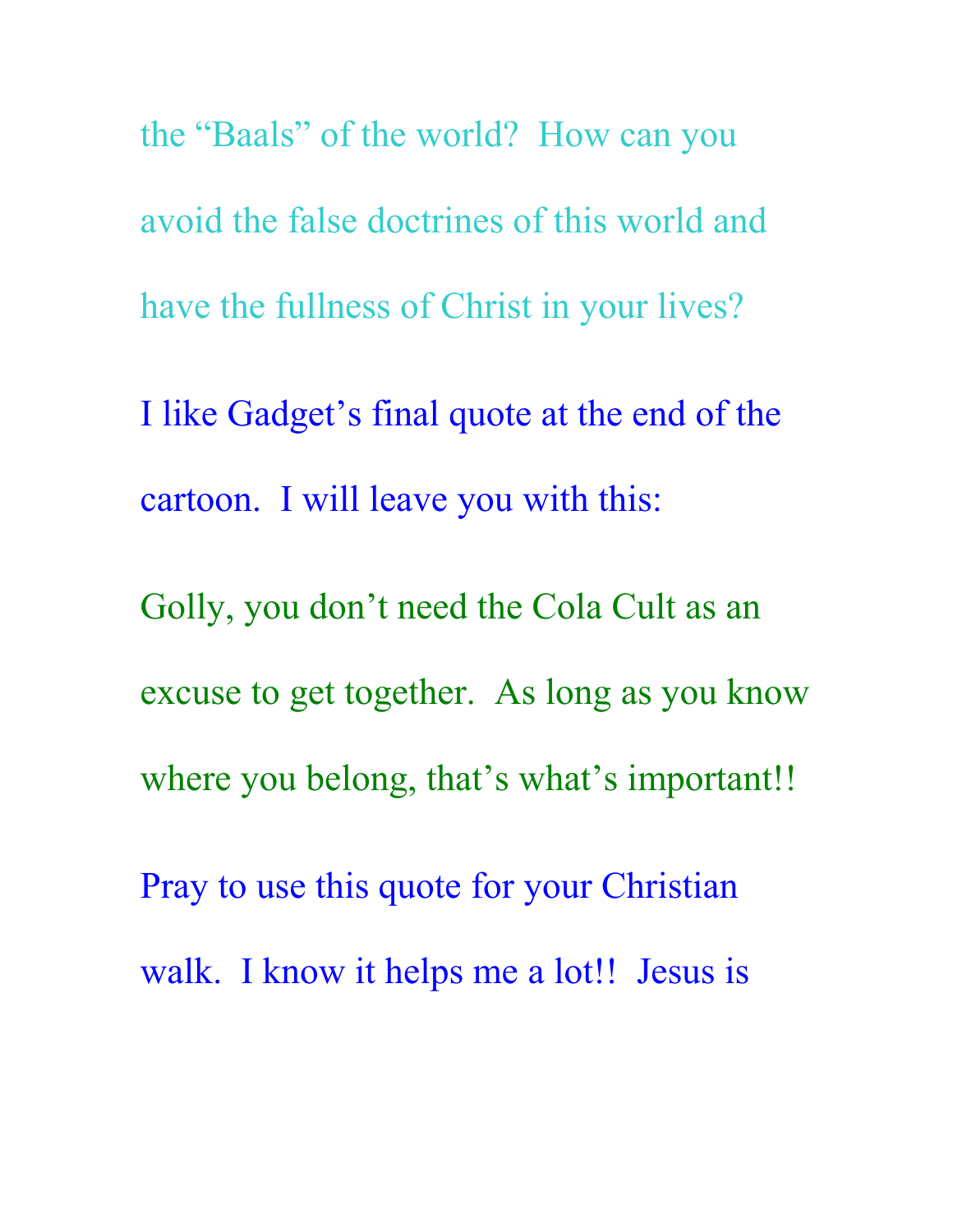the "Baals" of the world? How can you avoid the false doctrines of this world and have the fullness of Christ in your lives? I like Gadget's final quote at the end of the cartoon. I will leave you with this: Golly, you don't need the Cola Cult as an excuse to get together. As long as you know where you belong, that's what's important!! Pray to use this quote for your Christian walk. I know it helps me a lot!! Jesus is